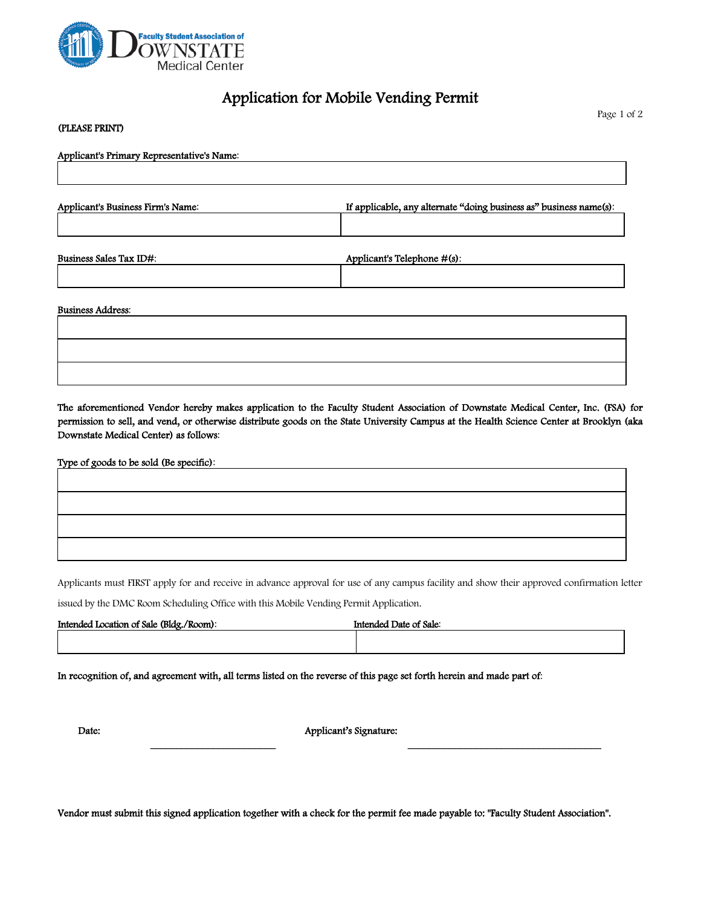

(PLEASE PRINT)

## Application for Mobile Vending Permit

Page 1 of 2

| (LLLCOLINUI)                               |                                                                    |  |
|--------------------------------------------|--------------------------------------------------------------------|--|
| Applicant's Primary Representative's Name: |                                                                    |  |
|                                            |                                                                    |  |
| Applicant's Business Firm's Name:          | If applicable, any alternate "doing business as" business name(s): |  |
|                                            |                                                                    |  |
| Business Sales Tax ID#:                    | Applicant's Telephone #(s):                                        |  |
|                                            |                                                                    |  |
| <b>Business Address:</b>                   |                                                                    |  |
|                                            |                                                                    |  |

The aforementioned Vendor hereby makes application to the Faculty Student Association of Downstate Medical Center, Inc. (FSA) for permission to sell, and vend, or otherwise distribute goods on the State University Campus at the Health Science Center at Brooklyn (aka Downstate Medical Center) as follows:

Type of goods to be sold (Be specific):

Applicants must FIRST apply for and receive in advance approval for use of any campus facility and show their approved confirmation letter

issued by the DMC Room Scheduling Office with this Mobile Vending Permit Application.

| Intended Location of Sale (Bldg./Room): | Intended Date of Sale: |
|-----------------------------------------|------------------------|
|                                         |                        |

In recognition of, and agreement with, all terms listed on the reverse of this page set forth herein and made part of:

Date: Applicant's Signature:

\_\_\_\_\_\_\_\_\_\_\_\_\_\_\_\_\_\_\_\_\_\_\_\_ \_\_\_\_\_\_\_\_\_\_\_\_\_\_\_\_\_\_\_\_\_\_\_\_\_\_\_\_\_\_\_\_\_\_\_\_\_

Vendor must submit this signed application together with a check for the permit fee made payable to: "Faculty Student Association".